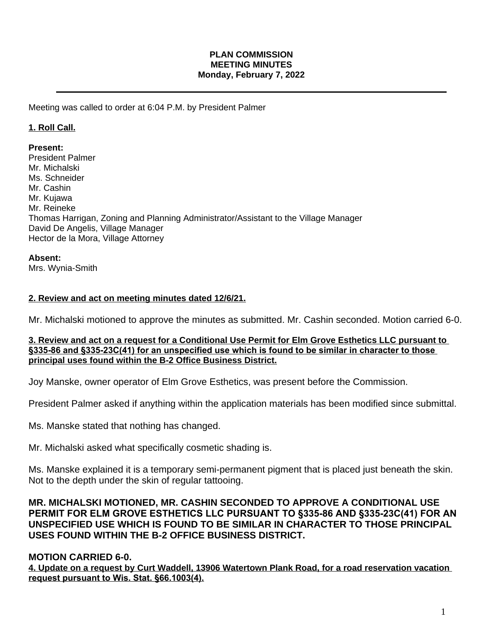### **PLAN COMMISSION MEETING MINUTES Monday, February 7, 2022**

Meeting was called to order at 6:04 P.M. by President Palmer

## **1. Roll Call.**

### **Present:**

President Palmer Mr. Michalski Ms. Schneider Mr. Cashin Mr. Kujawa Mr. Reineke Thomas Harrigan, Zoning and Planning Administrator/Assistant to the Village Manager David De Angelis, Village Manager Hector de la Mora, Village Attorney

### **Absent:**

Mrs. Wynia-Smith

## **2. Review and act on meeting minutes dated 12/6/21.**

Mr. Michalski motioned to approve the minutes as submitted. Mr. Cashin seconded. Motion carried 6-0.

### **3. Review and act on a request for a Conditional Use Permit for Elm Grove Esthetics LLC pursuant to §335-86 and §335-23C(41) for an unspecified use which is found to be similar in character to those principal uses found within the B-2 Office Business District.**

Joy Manske, owner operator of Elm Grove Esthetics, was present before the Commission.

President Palmer asked if anything within the application materials has been modified since submittal.

Ms. Manske stated that nothing has changed.

Mr. Michalski asked what specifically cosmetic shading is.

Ms. Manske explained it is a temporary semi-permanent pigment that is placed just beneath the skin. Not to the depth under the skin of regular tattooing.

**MR. MICHALSKI MOTIONED, MR. CASHIN SECONDED TO APPROVE A CONDITIONAL USE PERMIT FOR ELM GROVE ESTHETICS LLC PURSUANT TO §335-86 AND §335-23C(41) FOR AN UNSPECIFIED USE WHICH IS FOUND TO BE SIMILAR IN CHARACTER TO THOSE PRINCIPAL USES FOUND WITHIN THE B-2 OFFICE BUSINESS DISTRICT.** 

# **MOTION CARRIED 6-0.**

**4. Update on a request by Curt Waddell, 13906 Watertown Plank Road, for a road reservation vacation request pursuant to Wis. Stat. §66.1003(4).**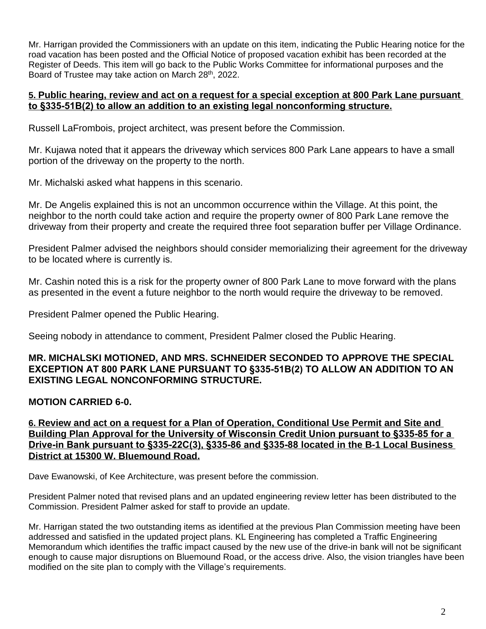Mr. Harrigan provided the Commissioners with an update on this item, indicating the Public Hearing notice for the road vacation has been posted and the Official Notice of proposed vacation exhibit has been recorded at the Register of Deeds. This item will go back to the Public Works Committee for informational purposes and the Board of Trustee may take action on March 28<sup>th</sup>, 2022.

## **5. Public hearing, review and act on a request for a special exception at 800 Park Lane pursuant to §335-51B(2) to allow an addition to an existing legal nonconforming structure.**

Russell LaFrombois, project architect, was present before the Commission.

Mr. Kujawa noted that it appears the driveway which services 800 Park Lane appears to have a small portion of the driveway on the property to the north.

Mr. Michalski asked what happens in this scenario.

Mr. De Angelis explained this is not an uncommon occurrence within the Village. At this point, the neighbor to the north could take action and require the property owner of 800 Park Lane remove the driveway from their property and create the required three foot separation buffer per Village Ordinance.

President Palmer advised the neighbors should consider memorializing their agreement for the driveway to be located where is currently is.

Mr. Cashin noted this is a risk for the property owner of 800 Park Lane to move forward with the plans as presented in the event a future neighbor to the north would require the driveway to be removed.

President Palmer opened the Public Hearing.

Seeing nobody in attendance to comment, President Palmer closed the Public Hearing.

## **MR. MICHALSKI MOTIONED, AND MRS. SCHNEIDER SECONDED TO APPROVE THE SPECIAL EXCEPTION AT 800 PARK LANE PURSUANT TO §335-51B(2) TO ALLOW AN ADDITION TO AN EXISTING LEGAL NONCONFORMING STRUCTURE.**

# **MOTION CARRIED 6-0.**

**6. Review and act on a request for a Plan of Operation, Conditional Use Permit and Site and Building Plan Approval for the University of Wisconsin Credit Union pursuant to §335-85 for a Drive-in Bank pursuant to §335-22C(3), §335-86 and §335-88 located in the B-1 Local Business District at 15300 W. Bluemound Road.**

Dave Ewanowski, of Kee Architecture, was present before the commission.

President Palmer noted that revised plans and an updated engineering review letter has been distributed to the Commission. President Palmer asked for staff to provide an update.

Mr. Harrigan stated the two outstanding items as identified at the previous Plan Commission meeting have been addressed and satisfied in the updated project plans. KL Engineering has completed a Traffic Engineering Memorandum which identifies the traffic impact caused by the new use of the drive-in bank will not be significant enough to cause major disruptions on Bluemound Road, or the access drive. Also, the vision triangles have been modified on the site plan to comply with the Village's requirements.